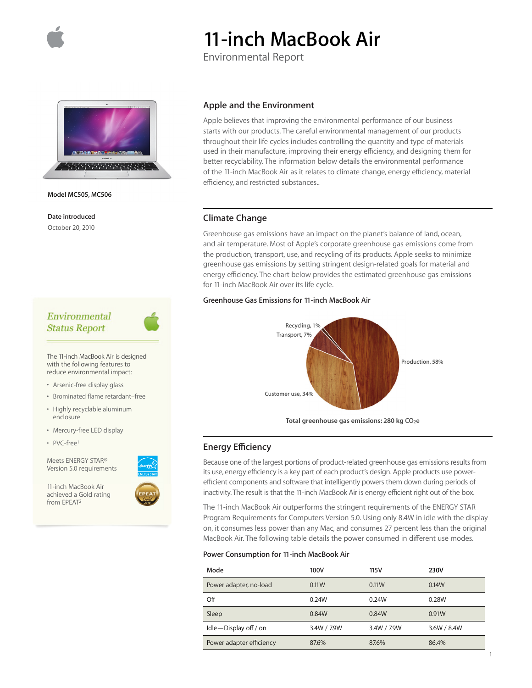

# **11-inch MacBook Air**

Environmental Report



**Model MC505, MC506**

**Date introduced** October 20, 2010

# Environmental **Status Report**

The 11-inch MacBook Air is designed with the following features to reduce environmental impact:

- Arsenic-free display glass
- Brominated flame retardant–free
- Highly recyclable aluminum enclosure
- Mercury-free LED display
- PVC-free<sup>1</sup>

Meets ENERGY STAR® Version 5.0 requirements

11-inch MacBook Air achieved a Gold rating from EPEAT2



Apple believes that improving the environmental performance of our business starts with our products. The careful environmental management of our products throughout their life cycles includes controlling the quantity and type of materials used in their manufacture, improving their energy efficiency, and designing them for better recyclability. The information below details the environmental performance of the 11-inch MacBook Air as it relates to climate change, energy efficiency, material efficiency, and restricted substances..

## **Climate Change**

Greenhouse gas emissions have an impact on the planet's balance of land, ocean, and air temperature. Most of Apple's corporate greenhouse gas emissions come from the production, transport, use, and recycling of its products. Apple seeks to minimize greenhouse gas emissions by setting stringent design-related goals for material and energy efficiency. The chart below provides the estimated greenhouse gas emissions for 11-inch MacBook Air over its life cycle.

### **Greenhouse Gas Emissions for 11-inch MacBook Air**



Total greenhouse gas emissions: 280 kg CO<sub>2</sub>e

## **Energy Efficiency**

Because one of the largest portions of product-related greenhouse gas emissions results from its use, energy efficiency is a key part of each product's design. Apple products use powerefficient components and software that intelligently powers them down during periods of inactivity. The result is that the 11-inch MacBook Air is energy efficient right out of the box.

The 11-inch MacBook Air outperforms the stringent requirements of the ENERGY STAR Program Requirements for Computers Version 5.0. Using only 8.4W in idle with the display on, it consumes less power than any Mac, and consumes 27 percent less than the original MacBook Air. The following table details the power consumed in different use modes.

#### **Power Consumption for 11-inch MacBook Air**

| Mode                     | 100V        | 115V        | <b>230V</b> |
|--------------------------|-------------|-------------|-------------|
| Power adapter, no-load   | 0.11W       | 0.11W       | 0.14W       |
| Off                      | 0.24W       | 0.24W       | 0.28W       |
| Sleep                    | 0.84W       | 0.84W       | 0.91W       |
| Idle-Display off / on    | 3.4W / 7.9W | 3.4W / 7.9W | 3.6W / 8.4W |
| Power adapter efficiency | 87.6%       | 87.6%       | 86.4%       |

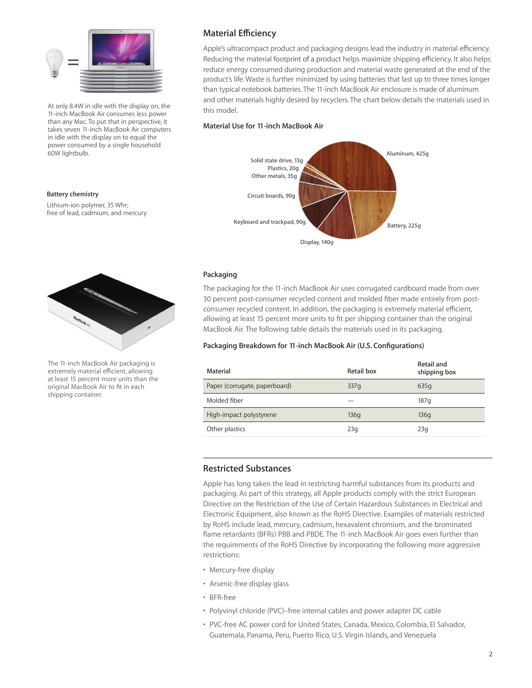

At only 8.4W in idle with the display on, the 11-inch MacBook Air consumes less power than any Mac. To put that in perspective, it takes seven 11-inch MacBook Air computers in idle with the display on to equal the power consumed by a single household 60W lightbulb.

#### **Battery chemistry**

Lithium-ion polymer, 35 Whr; free of lead, cadmium, and mercury



The 11-inch MacBook Air packaging is extremely material efficient, allowing at least 15 percent more units than the original MacBook Air to fit in each shipping container.

# **Material Efficiency**

Apple's ultracompact product and packaging designs lead the industry in material efficiency. Reducing the material footprint of a product helps maximize shipping efficiency. It also helps reduce energy consumed during production and material waste generated at the end of the product's life. Waste is further minimized by using batteries that last up to three times longer than typical notebook batteries. The 11-inch MacBook Air enclosure is made of aluminum and other materials highly desired by recyclers. The chart below details the materials used in this model.

### **Material Use for 11-inch MacBook Air**



## **Packaging**

The packaging for the 11-inch MacBook Air uses corrugated cardboard made from over 30 percent post-consumer recycled content and molded fiber made entirely from postconsumer recycled content. In addition, the packaging is extremely material efficient, allowing at least 15 percent more units to fit per shipping container than the original MacBook Air. The following table details the materials used in its packaging.

## **Packaging Breakdown for 11-inch MacBook Air (U.S. Configurations)**

| Material                      | Retail box | Retail and<br>shipping box |
|-------------------------------|------------|----------------------------|
| Paper (corrugate, paperboard) | 337q       | 635q                       |
| Molded fiber                  |            | 187q                       |
| High-impact polystyrene       | 136q       | 136q                       |
| Other plastics                | 23q        | 23q                        |

## **Restricted Substances**

Apple has long taken the lead in restricting harmful substances from its products and packaging. As part of this strategy, all Apple products comply with the strict European Directive on the Restriction of the Use of Certain Hazardous Substances in Electrical and Electronic Equipment, also known as the RoHS Directive. Examples of materials restricted by RoHS include lead, mercury, cadmium, hexavalent chromium, and the brominated flame retardants (BFRs) PBB and PBDE. The 11-inch MacBook Air goes even further than the requirements of the RoHS Directive by incorporating the following more aggressive restrictions:

- Mercury-free display
- Arsenic-free display glass
- BFR-free
- Polyvinyl chloride (PVC)–free internal cables and power adapter DC cable
- PVC-free AC power cord for United States, Canada, Mexico, Colombia, El Salvador, Guatemala, Panama, Peru, Puerto Rico, U.S. Virgin Islands, and Venezuela